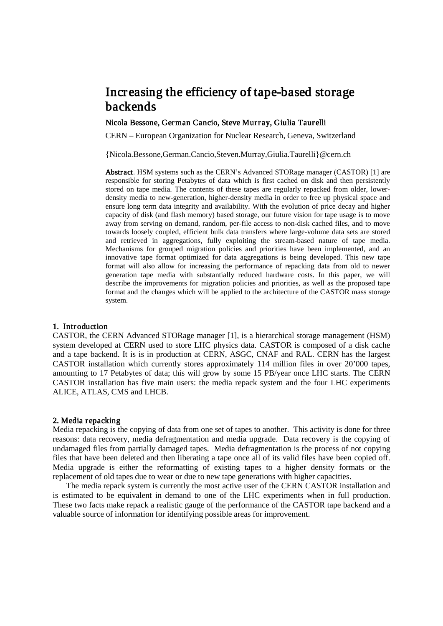# Increasing the efficiency of tape-based storage backends

## Nicola Bessone, German Cancio, Steve Murray, Giulia Taurelli

CERN – European Organization for Nuclear Research, Geneva, Switzerland

{Nicola.Bessone,German.Cancio,Steven.Murray,Giulia.Taurelli}@cern.ch

Abstract. HSM systems such as the CERN's Advanced STORage manager (CASTOR) [1] are responsible for storing Petabytes of data which is first cached on disk and then persistently stored on tape media. The contents of these tapes are regularly repacked from older, lowerdensity media to new-generation, higher-density media in order to free up physical space and ensure long term data integrity and availability. With the evolution of price decay and higher capacity of disk (and flash memory) based storage, our future vision for tape usage is to move away from serving on demand, random, per-file access to non-disk cached files, and to move towards loosely coupled, efficient bulk data transfers where large-volume data sets are stored and retrieved in aggregations, fully exploiting the stream-based nature of tape media. Mechanisms for grouped migration policies and priorities have been implemented, and an innovative tape format optimized for data aggregations is being developed. This new tape format will also allow for increasing the performance of repacking data from old to newer generation tape media with substantially reduced hardware costs. In this paper, we will describe the improvements for migration policies and priorities, as well as the proposed tape format and the changes which will be applied to the architecture of the CASTOR mass storage system.

#### 1. Introduction

CASTOR, the CERN Advanced STORage manager [1], is a hierarchical storage management (HSM) system developed at CERN used to store LHC physics data. CASTOR is composed of a disk cache and a tape backend. It is is in production at CERN, ASGC, CNAF and RAL. CERN has the largest CASTOR installation which currently stores approximately 114 million files in over 20'000 tapes, amounting to 17 Petabytes of data; this will grow by some 15 PB/year once LHC starts. The CERN CASTOR installation has five main users: the media repack system and the four LHC experiments ALICE, ATLAS, CMS and LHCB.

#### 2. Media repacking

Media repacking is the copying of data from one set of tapes to another. This activity is done for three reasons: data recovery, media defragmentation and media upgrade. Data recovery is the copying of undamaged files from partially damaged tapes. Media defragmentation is the process of not copying files that have been deleted and then liberating a tape once all of its valid files have been copied off. Media upgrade is either the reformatting of existing tapes to a higher density formats or the replacement of old tapes due to wear or due to new tape generations with higher capacities.

The media repack system is currently the most active user of the CERN CASTOR installation and is estimated to be equivalent in demand to one of the LHC experiments when in full production. These two facts make repack a realistic gauge of the performance of the CASTOR tape backend and a valuable source of information for identifying possible areas for improvement.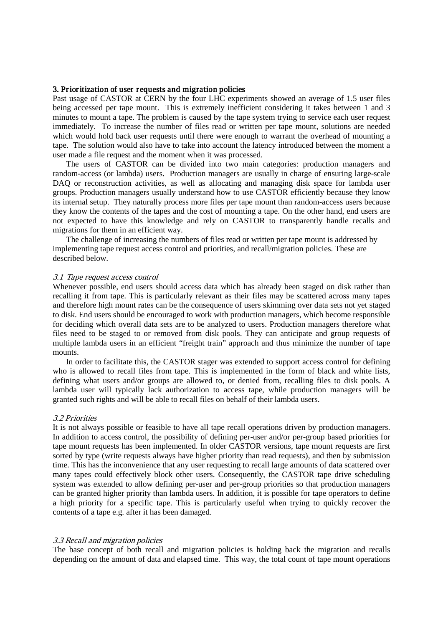### 3. Prioritization of user requests and migration policies

Past usage of CASTOR at CERN by the four LHC experiments showed an average of 1.5 user files being accessed per tape mount. This is extremely inefficient considering it takes between 1 and 3 minutes to mount a tape. The problem is caused by the tape system trying to service each user request immediately. To increase the number of files read or written per tape mount, solutions are needed which would hold back user requests until there were enough to warrant the overhead of mounting a tape. The solution would also have to take into account the latency introduced between the moment a user made a file request and the moment when it was processed.

The users of CASTOR can be divided into two main categories: production managers and random-access (or lambda) users. Production managers are usually in charge of ensuring large-scale DAQ or reconstruction activities, as well as allocating and managing disk space for lambda user groups. Production managers usually understand how to use CASTOR efficiently because they know its internal setup. They naturally process more files per tape mount than random-access users because they know the contents of the tapes and the cost of mounting a tape. On the other hand, end users are not expected to have this knowledge and rely on CASTOR to transparently handle recalls and migrations for them in an efficient way.

The challenge of increasing the numbers of files read or written per tape mount is addressed by implementing tape request access control and priorities, and recall/migration policies. These are described below.

#### 3.1 Tape request access control

Whenever possible, end users should access data which has already been staged on disk rather than recalling it from tape. This is particularly relevant as their files may be scattered across many tapes and therefore high mount rates can be the consequence of users skimming over data sets not yet staged to disk. End users should be encouraged to work with production managers, which become responsible for deciding which overall data sets are to be analyzed to users. Production managers therefore what files need to be staged to or removed from disk pools. They can anticipate and group requests of multiple lambda users in an efficient "freight train" approach and thus minimize the number of tape mounts.

In order to facilitate this, the CASTOR stager was extended to support access control for defining who is allowed to recall files from tape. This is implemented in the form of black and white lists, defining what users and/or groups are allowed to, or denied from, recalling files to disk pools. A lambda user will typically lack authorization to access tape, while production managers will be granted such rights and will be able to recall files on behalf of their lambda users.

#### 3.2 Priorities

It is not always possible or feasible to have all tape recall operations driven by production managers. In addition to access control, the possibility of defining per-user and/or per-group based priorities for tape mount requests has been implemented. In older CASTOR versions, tape mount requests are first sorted by type (write requests always have higher priority than read requests), and then by submission time. This has the inconvenience that any user requesting to recall large amounts of data scattered over many tapes could effectively block other users. Consequently, the CASTOR tape drive scheduling system was extended to allow defining per-user and per-group priorities so that production managers can be granted higher priority than lambda users. In addition, it is possible for tape operators to define a high priority for a specific tape. This is particularly useful when trying to quickly recover the contents of a tape e.g. after it has been damaged.

#### 3.3 Recall and migration policies

The base concept of both recall and migration policies is holding back the migration and recalls depending on the amount of data and elapsed time. This way, the total count of tape mount operations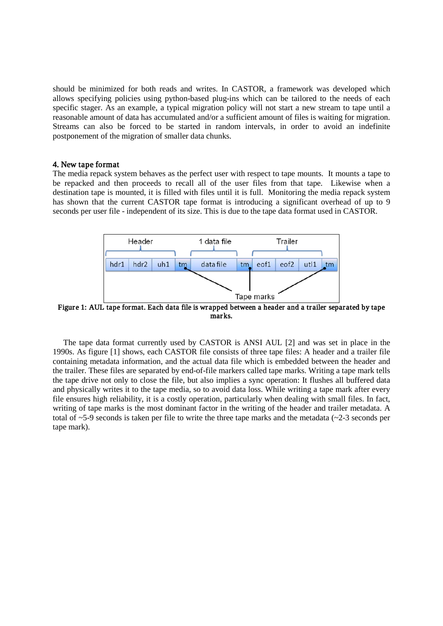should be minimized for both reads and writes. In CASTOR, a framework was developed which allows specifying policies using python-based plug-ins which can be tailored to the needs of each specific stager. As an example, a typical migration policy will not start a new stream to tape until a reasonable amount of data has accumulated and/or a sufficient amount of files is waiting for migration. Streams can also be forced to be started in random intervals, in order to avoid an indefinite postponement of the migration of smaller data chunks.

## 4. New tape format

The media repack system behaves as the perfect user with respect to tape mounts. It mounts a tape to be repacked and then proceeds to recall all of the user files from that tape. Likewise when a destination tape is mounted, it is filled with files until it is full. Monitoring the media repack system has shown that the current CASTOR tape format is introducing a significant overhead of up to 9 seconds per user file - independent of its size. This is due to the tape data format used in CASTOR.



mar ks.

The tape data format currently used by CASTOR is ANSI AUL [2] and was set in place in the 1990s. As figure [1] shows, each CASTOR file consists of three tape files: A header and a trailer file containing metadata information, and the actual data file which is embedded between the header and the trailer. These files are separated by end-of-file markers called tape marks. Writing a tape mark tells the tape drive not only to close the file, but also implies a sync operation: It flushes all buffered data and physically writes it to the tape media, so to avoid data loss. While writing a tape mark after every file ensures high reliability, it is a costly operation, particularly when dealing with small files. In fact, writing of tape marks is the most dominant factor in the writing of the header and trailer metadata. A total of  $\sim$ 5-9 seconds is taken per file to write the three tape marks and the metadata ( $\sim$ 2-3 seconds per tape mark).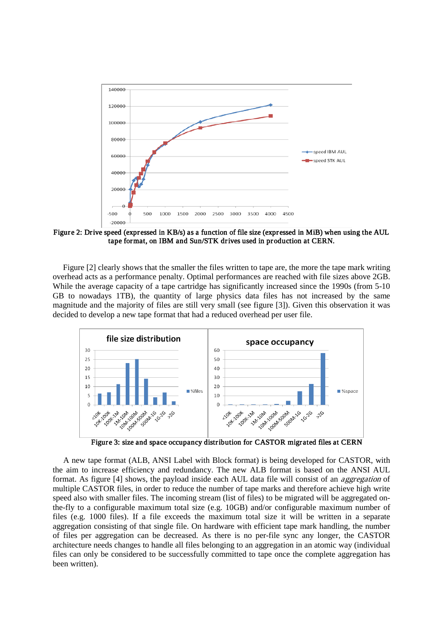

Figure 2: Drive speed (expressed in KB/s) as a function of file size (expressed in MiB) when using the AUL tape format, on IBM and Sun/STK drives used in production at CERN.

 Figure [2] clearly shows that the smaller the files written to tape are, the more the tape mark writing overhead acts as a performance penalty. Optimal performances are reached with file sizes above 2GB. While the average capacity of a tape cartridge has significantly increased since the 1990s (from 5-10) GB to nowadays 1TB), the quantity of large physics data files has not increased by the same magnitude and the majority of files are still very small (see figure [3]). Given this observation it was decided to develop a new tape format that had a reduced overhead per user file.



Figure 3: size and space occupancy distribution for CASTOR migrated files at CERN

A new tape format (ALB, ANSI Label with Block format) is being developed for CASTOR, with the aim to increase efficiency and redundancy. The new ALB format is based on the ANSI AUL format. As figure [4] shows, the payload inside each AUL data file will consist of an aggregation of multiple CASTOR files, in order to reduce the number of tape marks and therefore achieve high write speed also with smaller files. The incoming stream (list of files) to be migrated will be aggregated onthe-fly to a configurable maximum total size (e.g. 10GB) and/or configurable maximum number of files (e.g. 1000 files). If a file exceeds the maximum total size it will be written in a separate aggregation consisting of that single file. On hardware with efficient tape mark handling, the number of files per aggregation can be decreased. As there is no per-file sync any longer, the CASTOR architecture needs changes to handle all files belonging to an aggregation in an atomic way (individual files can only be considered to be successfully committed to tape once the complete aggregation has been written).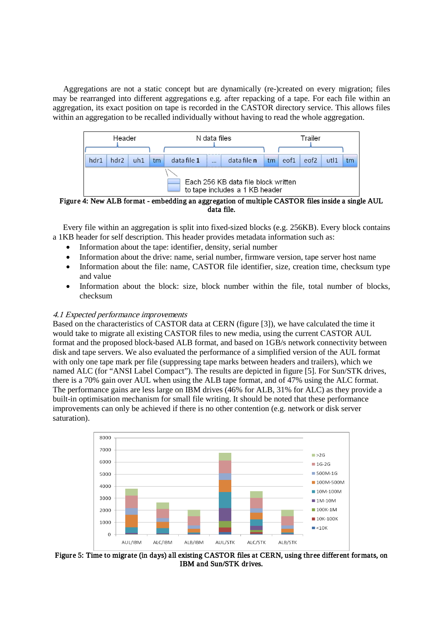Aggregations are not a static concept but are dynamically (re-)created on every migration; files may be rearranged into different aggregations e.g. after repacking of a tape. For each file within an aggregation, its exact position on tape is recorded in the CASTOR directory service. This allows files within an aggregation to be recalled individually without having to read the whole aggregation.



Figure 4: New ALB format - embedding an aggregation of multiple CASTOR files inside a single AUL data file.

 Every file within an aggregation is split into fixed-sized blocks (e.g. 256KB). Every block contains a 1KB header for self description. This header provides metadata information such as:

- Information about the tape: identifier, density, serial number
- Information about the drive: name, serial number, firmware version, tape server host name
- Information about the file: name, CASTOR file identifier, size, creation time, checksum type and value
- Information about the block: size, block number within the file, total number of blocks, checksum

## 4.1 Expected performance improvements

Based on the characteristics of CASTOR data at CERN (figure [3]), we have calculated the time it would take to migrate all existing CASTOR files to new media, using the current CASTOR AUL format and the proposed block-based ALB format, and based on 1GB/s network connectivity between disk and tape servers. We also evaluated the performance of a simplified version of the AUL format with only one tape mark per file (suppressing tape marks between headers and trailers), which we named ALC (for "ANSI Label Compact"). The results are depicted in figure [5]. For Sun/STK drives, there is a 70% gain over AUL when using the ALB tape format, and of 47% using the ALC format. The performance gains are less large on IBM drives (46% for ALB, 31% for ALC) as they provide a built-in optimisation mechanism for small file writing. It should be noted that these performance improvements can only be achieved if there is no other contention (e.g. network or disk server saturation).



Figure 5: Time to migrate (in days) all existing CASTOR files at CERN, using three different formats, on IBM and Sun/STK drives.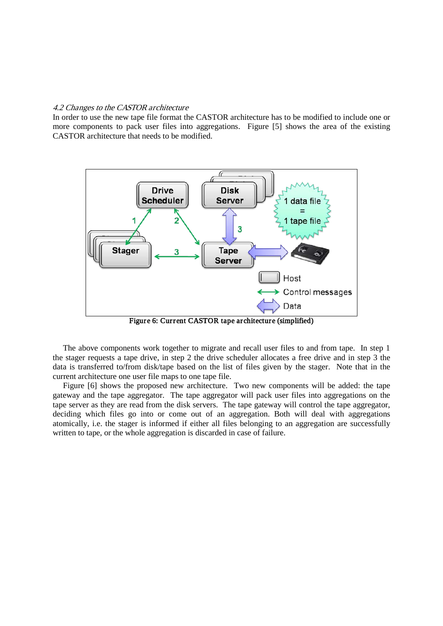#### 4.2 Changes to the CASTOR architecture

In order to use the new tape file format the CASTOR architecture has to be modified to include one or more components to pack user files into aggregations. Figure [5] shows the area of the existing CASTOR architecture that needs to be modified.



Figure 6: Current CASTOR tape architecture (simplified)

 The above components work together to migrate and recall user files to and from tape. In step 1 the stager requests a tape drive, in step 2 the drive scheduler allocates a free drive and in step 3 the data is transferred to/from disk/tape based on the list of files given by the stager. Note that in the current architecture one user file maps to one tape file.

 Figure [6] shows the proposed new architecture. Two new components will be added: the tape gateway and the tape aggregator. The tape aggregator will pack user files into aggregations on the tape server as they are read from the disk servers. The tape gateway will control the tape aggregator, deciding which files go into or come out of an aggregation. Both will deal with aggregations atomically, i.e. the stager is informed if either all files belonging to an aggregation are successfully written to tape, or the whole aggregation is discarded in case of failure.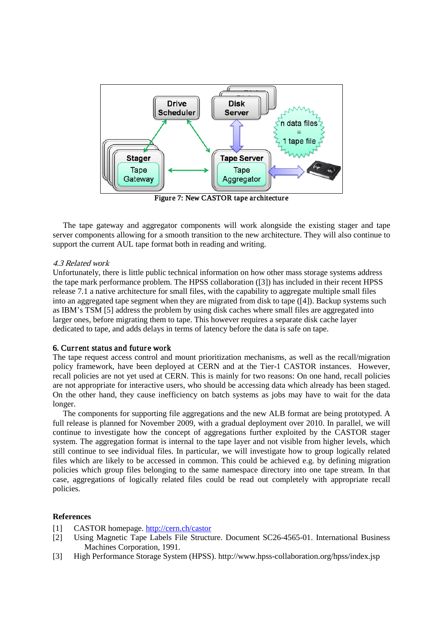

Figure 7: New CASTOR tape architecture

 The tape gateway and aggregator components will work alongside the existing stager and tape server components allowing for a smooth transition to the new architecture. They will also continue to support the current AUL tape format both in reading and writing.

#### 4.3 Related work

Unfortunately, there is little public technical information on how other mass storage systems address the tape mark performance problem. The HPSS collaboration ([3]) has included in their recent HPSS release 7.1 a native architecture for small files, with the capability to aggregate multiple small files into an aggregated tape segment when they are migrated from disk to tape ([4]). Backup systems such as IBM's TSM [5] address the problem by using disk caches where small files are aggregated into larger ones, before migrating them to tape. This however requires a separate disk cache layer dedicated to tape, and adds delays in terms of latency before the data is safe on tape.

## 6. Current status and future work

The tape request access control and mount prioritization mechanisms, as well as the recall/migration policy framework, have been deployed at CERN and at the Tier-1 CASTOR instances. However, recall policies are not yet used at CERN. This is mainly for two reasons: On one hand, recall policies are not appropriate for interactive users, who should be accessing data which already has been staged. On the other hand, they cause inefficiency on batch systems as jobs may have to wait for the data longer.

 The components for supporting file aggregations and the new ALB format are being prototyped. A full release is planned for November 2009, with a gradual deployment over 2010. In parallel, we will continue to investigate how the concept of aggregations further exploited by the CASTOR stager system. The aggregation format is internal to the tape layer and not visible from higher levels, which still continue to see individual files. In particular, we will investigate how to group logically related files which are likely to be accessed in common. This could be achieved e.g. by defining migration policies which group files belonging to the same namespace directory into one tape stream. In that case, aggregations of logically related files could be read out completely with appropriate recall policies.

#### **References**

- [1] CASTOR homepage.<http://cern.ch/castor>
- [2] Using Magnetic Tape Labels File Structure. Document SC26-4565-01. International Business Machines Corporation, 1991.
- [3] High Performance Storage System (HPSS). http://www.hpss-collaboration.org/hpss/index.jsp